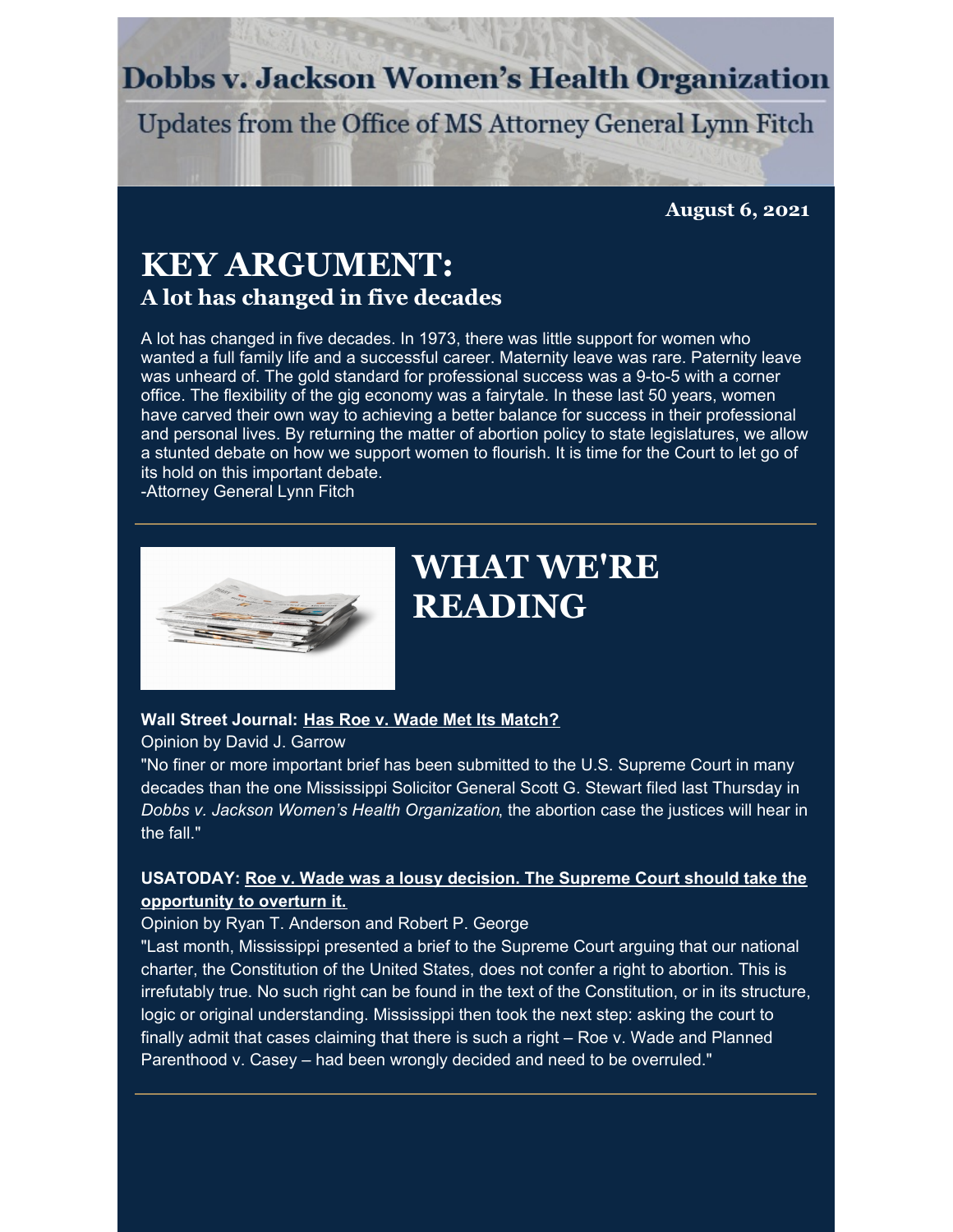### **Dobbs v. Jackson Women's Health Organization**

Updates from the Office of MS Attorney General Lynn Fitch

**August 6, 2021**

### **KEY ARGUMENT: A lot has changed in five decades**

A lot has changed in five decades. In 1973, there was little support for women who wanted a full family life and a successful career. Maternity leave was rare. Paternity leave was unheard of. The gold standard for professional success was a 9-to-5 with a corner office. The flexibility of the gig economy was a fairytale. In these last 50 years, women have carved their own way to achieving a better balance for success in their professional and personal lives. By returning the matter of abortion policy to state legislatures, we allow a stunted debate on how we support women to flourish. It is time for the Court to let go of its hold on this important debate.

-Attorney General Lynn Fitch



### **WHAT WE'RE READING**

#### **Wall Street Journal: Has Roe v. Wade Met Its [Match?](https://www.wsj.com/articles/roe-wade-abortion-reproductive-rights-life-dobbs-jackson-womens-health-organization-11627583291)**

Opinion by David J. Garrow

"No finer or more important brief has been submitted to the U.S. Supreme Court in many decades than the one Mississippi Solicitor General Scott G. Stewart filed last Thursday in *Dobbs v. Jackson Women's Health Organization*, the abortion case the justices will hear in the fall."

### **[USATODAY:](https://www.usatoday.com/story/opinion/2021/08/03/abortion-appears-nowhere-constitution-roe-wade-casey/5407906001/) Roe v. Wade was a lousy decision. The Supreme Court should take the opportunity to overturn it.**

Opinion by Ryan T. Anderson and Robert P. George

"Last month, Mississippi presented a brief to the Supreme Court arguing that our national charter, the Constitution of the United States, does not confer a right to abortion. This is irrefutably true. No such right can be found in the text of the Constitution, or in its structure, logic or original understanding. Mississippi then took the next step: asking the court to finally admit that cases claiming that there is such a right – Roe v. Wade and Planned Parenthood v. Casey – had been wrongly decided and need to be overruled."